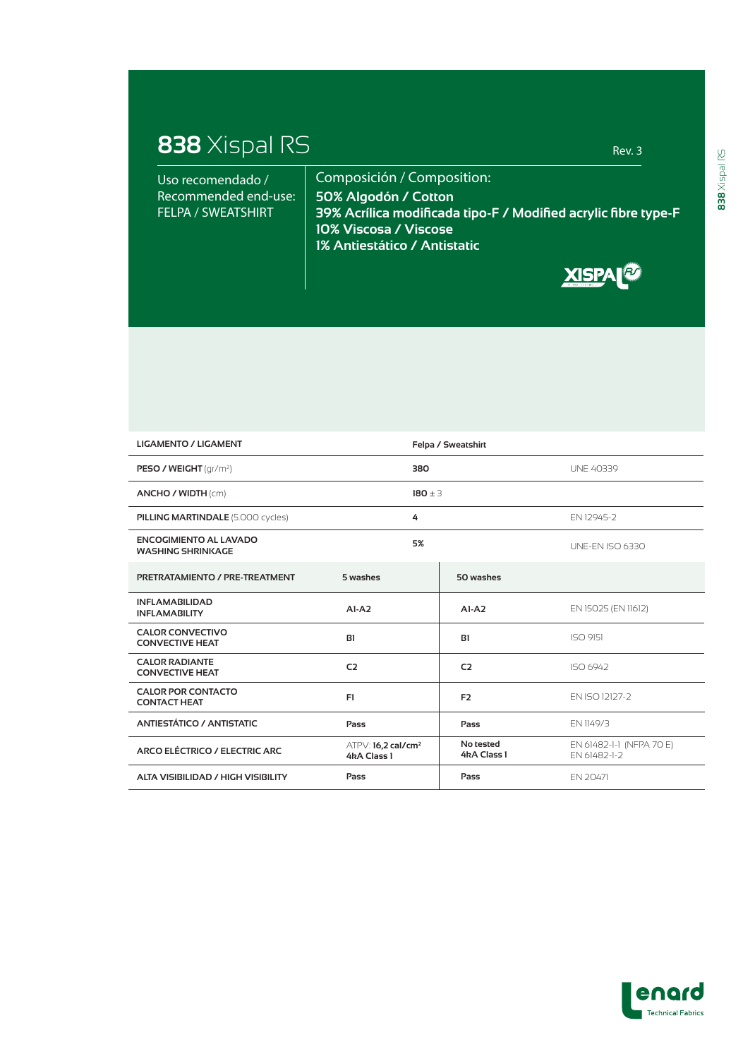## **838** Xispal RS Rev. 3

| Uso recomendado /    | Composición / Composition:                                          |  |  |
|----------------------|---------------------------------------------------------------------|--|--|
| Recommended end-use: | 50% Algodón / Cotton                                                |  |  |
| FELPA / SWEATSHIRT   | $\,$ 39% Acrílica modificada tipo-F / Modified acrylic fibre type-F |  |  |
|                      | 10% Viscosa / Viscose                                               |  |  |
|                      | 1% Antiestático / Antistatic                                        |  |  |



| <b>LIGAMENTO / LIGAMENT</b>                               |                                                 | Felpa / Sweatshirt       |                                          |  |
|-----------------------------------------------------------|-------------------------------------------------|--------------------------|------------------------------------------|--|
| <b>PESO / WEIGHT</b> $\frac{qr}{m^2}$                     | 380                                             |                          | <b>UNE 40339</b>                         |  |
| ANCHO / WIDTH (cm)                                        | $180 \pm 3$                                     |                          |                                          |  |
| <b>PILLING MARTINDALE (5.000 cycles)</b>                  | 4                                               |                          | FN 12945-2                               |  |
| <b>ENCOGIMIENTO AL LAVADO</b><br><b>WASHING SHRINKAGE</b> | 5%                                              |                          | <b>UNE-EN ISO 6330</b>                   |  |
| PRETRATAMIENTO / PRE-TREATMENT                            | 5 washes                                        | 50 washes                |                                          |  |
| <b>INFLAMABILIDAD</b><br><b>INFLAMABILITY</b>             | $AI-A2$                                         | $A1-A2$                  | EN 15025 (EN 11612)                      |  |
| <b>CALOR CONVECTIVO</b><br><b>CONVECTIVE HEAT</b>         | B1                                              | B1                       | ISO 9151                                 |  |
| <b>CALOR RADIANTE</b><br><b>CONVECTIVE HEAT</b>           | C <sub>2</sub>                                  | C <sub>2</sub>           | ISO 6942                                 |  |
| <b>CALOR POR CONTACTO</b><br><b>CONTACT HEAT</b>          | F1                                              | F <sub>2</sub>           | FN ISO 12127-2                           |  |
| <b>ANTIESTÁTICO / ANTISTATIC</b>                          | Pass                                            | Pass                     | EN 1149/3                                |  |
| ARCO ELÉCTRICO / ELECTRIC ARC                             | $ATPV: 16,2$ cal/cm <sup>2</sup><br>4kA Class 1 | No tested<br>4kA Class 1 | EN 61482-1-1 (NFPA 70 E)<br>EN 61482-1-2 |  |
| <b>ALTA VISIBILIDAD / HIGH VISIBILITY</b>                 | Pass                                            | Pass                     | EN 20471                                 |  |